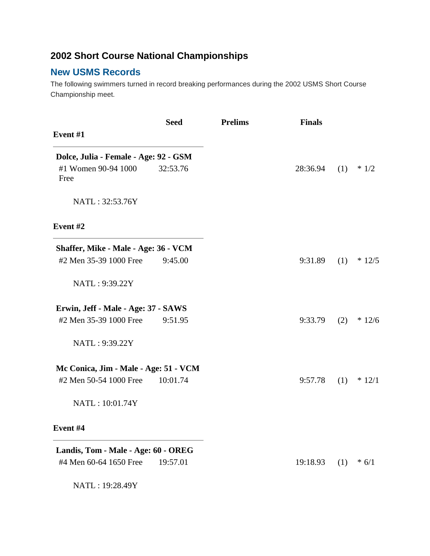## **2002 Short Course National Championships**

## **New USMS Records**

The following swimmers turned in record breaking performances during the 2002 USMS Short Course Championship meet.

| Event #1                                                      | <b>Seed</b> | <b>Prelims</b> | <b>Finals</b> |     |          |
|---------------------------------------------------------------|-------------|----------------|---------------|-----|----------|
| Dolce, Julia - Female - Age: 92 - GSM                         |             |                |               |     |          |
| #1 Women 90-94 1000<br>Free                                   | 32:53.76    |                | 28:36.94      | (1) | $*1/2$   |
| NATL: 32:53.76Y                                               |             |                |               |     |          |
| Event <sub>#2</sub>                                           |             |                |               |     |          |
| Shaffer, Mike - Male - Age: 36 - VCM                          |             |                |               |     |          |
| #2 Men 35-39 1000 Free                                        | 9:45.00     |                | 9:31.89       | (1) | $*12/5$  |
| NATL: 9:39.22Y                                                |             |                |               |     |          |
| Erwin, Jeff - Male - Age: 37 - SAWS                           |             |                |               |     |          |
| #2 Men 35-39 1000 Free                                        | 9:51.95     |                | 9:33.79       | (2) | $*12/6$  |
| NATL: 9:39.22Y                                                |             |                |               |     |          |
| Mc Conica, Jim - Male - Age: 51 - VCM                         |             |                |               |     |          |
| #2 Men 50-54 1000 Free                                        | 10:01.74    |                | 9:57.78       | (1) | $* 12/1$ |
| NATL: 10:01.74Y                                               |             |                |               |     |          |
| Event #4                                                      |             |                |               |     |          |
| Landis, Tom - Male - Age: 60 - OREG<br>#4 Men 60-64 1650 Free | 19:57.01    |                | 19:18.93      | (1) | $* 6/1$  |
| NATL: 19:28.49Y                                               |             |                |               |     |          |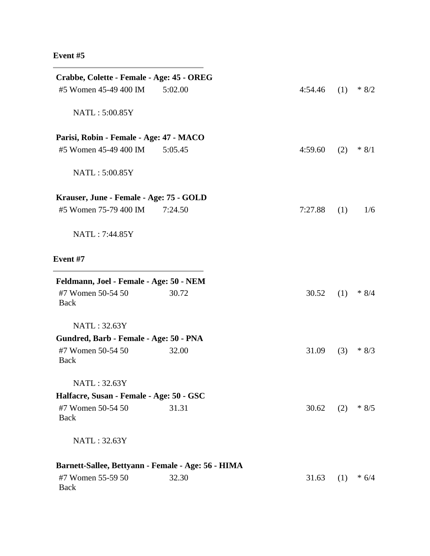## **Event #5**

| Crabbe, Colette - Female - Age: 45 - OREG          |         |         |     |         |
|----------------------------------------------------|---------|---------|-----|---------|
| #5 Women 45-49 400 IM                              | 5:02.00 | 4:54.46 | (1) | $*8/2$  |
| NATL: 5:00.85Y                                     |         |         |     |         |
| Parisi, Robin - Female - Age: 47 - MACO            |         |         |     |         |
| #5 Women 45-49 400 IM                              | 5:05.45 | 4:59.60 | (2) | $* 8/1$ |
| NATL: 5:00.85Y                                     |         |         |     |         |
| Krauser, June - Female - Age: 75 - GOLD            |         |         |     |         |
| #5 Women 75-79 400 IM                              | 7:24.50 | 7:27.88 | (1) | 1/6     |
| NATL: 7:44.85Y                                     |         |         |     |         |
| <b>Event</b> #7                                    |         |         |     |         |
| Feldmann, Joel - Female - Age: 50 - NEM            |         |         |     |         |
| #7 Women 50-54 50<br><b>Back</b>                   | 30.72   | 30.52   | (1) | $* 8/4$ |
| NATL: 32.63Y                                       |         |         |     |         |
| Gundred, Barb - Female - Age: 50 - PNA             |         |         |     |         |
| #7 Women 50-54 50<br><b>Back</b>                   | 32.00   | 31.09   | (3) | $*8/3$  |
| NATL: 32.63Y                                       |         |         |     |         |
| Halfacre, Susan - Female - Age: 50 - GSC           |         |         |     |         |
| #7 Women 50-54 50<br>Back                          | 31.31   | 30.62   | (2) | $*8/5$  |
| NATL: 32.63Y                                       |         |         |     |         |
| Barnett-Sallee, Bettyann - Female - Age: 56 - HIMA |         |         |     |         |
| #7 Women 55-59 50<br>Back                          | 32.30   | 31.63   | (1) | $* 6/4$ |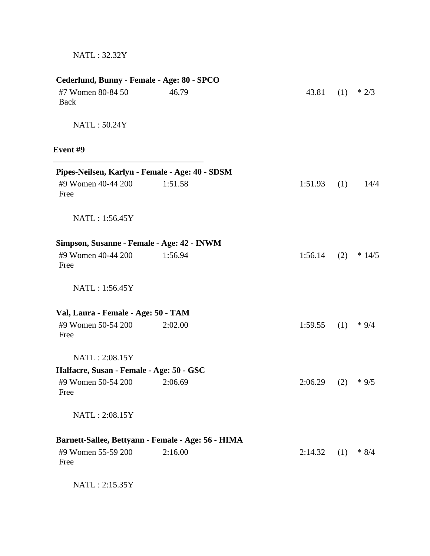| #7 Women 80-84 50<br>Back                       | 46.79                                              | 43.81   | (1) | $*2/3$  |
|-------------------------------------------------|----------------------------------------------------|---------|-----|---------|
| NATL: 50.24Y                                    |                                                    |         |     |         |
| Event #9                                        |                                                    |         |     |         |
| Pipes-Neilsen, Karlyn - Female - Age: 40 - SDSM |                                                    |         |     |         |
| #9 Women 40-44 200<br>Free                      | 1:51.58                                            | 1:51.93 | (1) | 14/4    |
| NATL: 1:56.45Y                                  |                                                    |         |     |         |
| Simpson, Susanne - Female - Age: 42 - INWM      |                                                    |         |     |         |
| #9 Women 40-44 200<br>Free                      | 1:56.94                                            | 1:56.14 | (2) | $*14/5$ |
| NATL: 1:56.45Y                                  |                                                    |         |     |         |
| Val, Laura - Female - Age: 50 - TAM             |                                                    |         |     |         |
| #9 Women 50-54 200<br>Free                      | 2:02.00                                            | 1:59.55 | (1) | $*9/4$  |
| NATL: 2:08.15Y                                  |                                                    |         |     |         |
| Halfacre, Susan - Female - Age: 50 - GSC        |                                                    |         |     |         |
| #9 Women 50-54 200<br>Free                      | 2:06.69                                            | 2:06.29 | (2) | $*9/5$  |
| NATL: 2:08.15Y                                  |                                                    |         |     |         |
|                                                 | Barnett-Sallee, Bettyann - Female - Age: 56 - HIMA |         |     |         |
| #9 Women 55-59 200<br>Free                      | 2:16.00                                            | 2:14.32 | (1) | $* 8/4$ |

NATL : 2:15.35Y

NATL : 32.32Y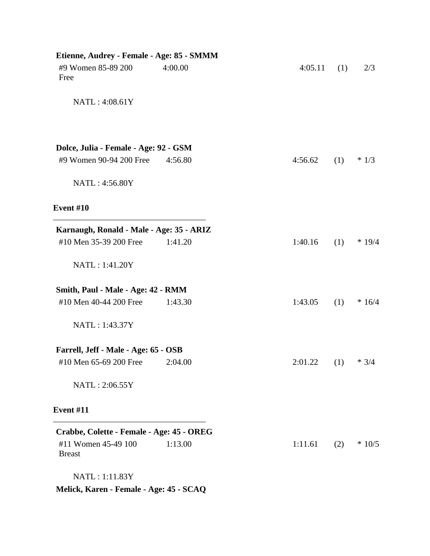| Etienne, Audrey - Female - Age: 85 - SMMM |         |         |     |          |
|-------------------------------------------|---------|---------|-----|----------|
| #9 Women 85-89 200<br>Free                | 4:00.00 | 4:05.11 | (1) | 2/3      |
| NATL: 4:08.61Y                            |         |         |     |          |
| Dolce, Julia - Female - Age: 92 - GSM     |         |         |     |          |
| #9 Women 90-94 200 Free                   | 4:56.80 | 4:56.62 | (1) | $*1/3$   |
| NATL: 4:56.80Y                            |         |         |     |          |
| Event #10                                 |         |         |     |          |
| Karnaugh, Ronald - Male - Age: 35 - ARIZ  |         |         |     |          |
| #10 Men 35-39 200 Free                    | 1:41.20 | 1:40.16 | (1) | $* 19/4$ |
| NATL: 1:41.20Y                            |         |         |     |          |
| Smith, Paul - Male - Age: 42 - RMM        |         |         |     |          |
| #10 Men 40-44 200 Free                    | 1:43.30 | 1:43.05 | (1) | $*16/4$  |
| NATL: 1:43.37Y                            |         |         |     |          |
| Farrell, Jeff - Male - Age: 65 - OSB      |         |         |     |          |
| #10 Men 65-69 200 Free                    | 2:04.00 | 2:01.22 | (1) | $* 3/4$  |
| NATL: 2:06.55Y                            |         |         |     |          |
| <b>Event #11</b>                          |         |         |     |          |
| Crabbe, Colette - Female - Age: 45 - OREG |         |         |     |          |
| #11 Women 45-49 100<br><b>Breast</b>      | 1:13.00 | 1:11.61 | (2) | $*10/5$  |
| NATL: 1:11.83Y                            |         |         |     |          |
| Melick, Karen - Female - Age: 45 - SCAQ   |         |         |     |          |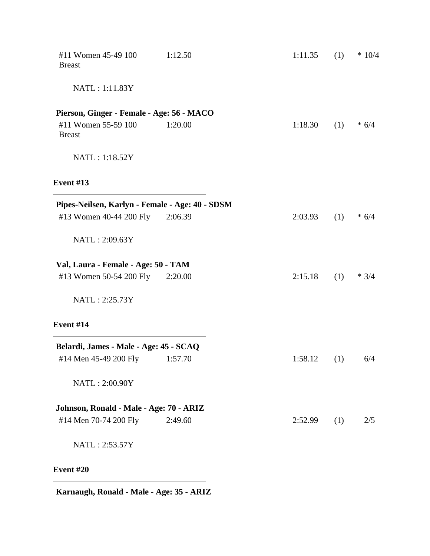| #11 Women 45-49 100<br><b>Breast</b>            | 1:12.50 | 1:11.35 | (1) | $*10/4$ |
|-------------------------------------------------|---------|---------|-----|---------|
| NATL: 1:11.83Y                                  |         |         |     |         |
| Pierson, Ginger - Female - Age: 56 - MACO       |         |         |     |         |
| #11 Women 55-59 100<br><b>Breast</b>            | 1:20.00 | 1:18.30 | (1) | $* 6/4$ |
| NATL: 1:18.52Y                                  |         |         |     |         |
| Event $#13$                                     |         |         |     |         |
| Pipes-Neilsen, Karlyn - Female - Age: 40 - SDSM |         |         |     |         |
| #13 Women 40-44 200 Fly                         | 2:06.39 | 2:03.93 | (1) | $* 6/4$ |
| NATL: 2:09.63Y                                  |         |         |     |         |
| Val, Laura - Female - Age: 50 - TAM             |         |         |     |         |
| #13 Women 50-54 200 Fly                         | 2:20.00 | 2:15.18 | (1) | $* 3/4$ |
| NATL: 2:25.73Y                                  |         |         |     |         |
| Event #14                                       |         |         |     |         |
| Belardi, James - Male - Age: 45 - SCAQ          |         |         |     |         |
| #14 Men 45-49 200 Fly                           | 1:57.70 | 1:58.12 | (1) | 6/4     |
| NATL: 2:00.90Y                                  |         |         |     |         |
| Johnson, Ronald - Male - Age: 70 - ARIZ         |         |         |     |         |
| #14 Men 70-74 200 Fly                           | 2:49.60 | 2:52.99 | (1) | 2/5     |
| NATL: 2:53.57Y                                  |         |         |     |         |
| Event #20                                       |         |         |     |         |

**Karnaugh, Ronald - Male - Age: 35 - ARIZ**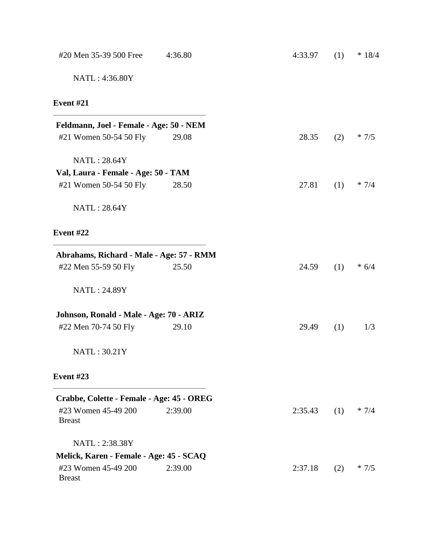| #20 Men 35-39 500 Free                    | 4:36.80 | 4:33.97 | (1) | $* 18/4$ |
|-------------------------------------------|---------|---------|-----|----------|
| NATL: 4:36.80Y                            |         |         |     |          |
| <b>Event #21</b>                          |         |         |     |          |
| Feldmann, Joel - Female - Age: 50 - NEM   |         |         |     |          |
| #21 Women 50-54 50 Fly                    | 29.08   | 28.35   | (2) | $*7/5$   |
| NATL: 28.64Y                              |         |         |     |          |
| Val, Laura - Female - Age: 50 - TAM       |         |         |     |          |
| #21 Women 50-54 50 Fly                    | 28.50   | 27.81   | (1) | $* 7/4$  |
| NATL: 28.64Y                              |         |         |     |          |
| <b>Event #22</b>                          |         |         |     |          |
| Abrahams, Richard - Male - Age: 57 - RMM  |         |         |     |          |
| #22 Men 55-59 50 Fly                      | 25.50   | 24.59   | (1) | $* 6/4$  |
| NATL: 24.89Y                              |         |         |     |          |
| Johnson, Ronald - Male - Age: 70 - ARIZ   |         |         |     |          |
| #22 Men 70-74 50 Fly                      | 29.10   | 29.49   | (1) | 1/3      |
| NATL: 30.21Y                              |         |         |     |          |
| <b>Event #23</b>                          |         |         |     |          |
| Crabbe, Colette - Female - Age: 45 - OREG |         |         |     |          |
| #23 Women 45-49 200<br><b>Breast</b>      | 2:39.00 | 2:35.43 | (1) | $* 7/4$  |
| NATL: 2:38.38Y                            |         |         |     |          |
| Melick, Karen - Female - Age: 45 - SCAQ   |         |         |     |          |
| #23 Women 45-49 200<br><b>Breast</b>      | 2:39.00 | 2:37.18 | (2) | $*7/5$   |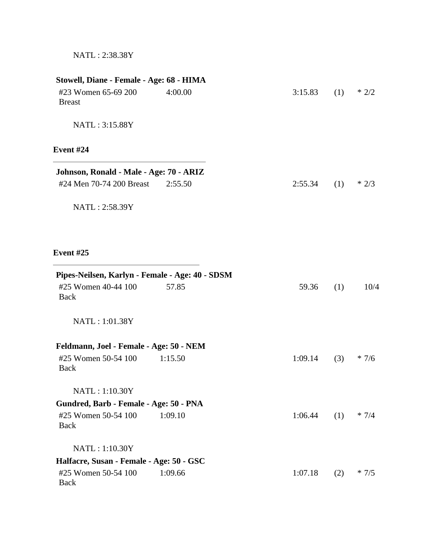| Stowell, Diane - Female - Age: 68 - HIMA<br>#23 Women 65-69 200<br><b>Breast</b> | 4:00.00 | 3:15.83 | (1) | $*2/2$  |
|----------------------------------------------------------------------------------|---------|---------|-----|---------|
| NATL: 3:15.88Y                                                                   |         |         |     |         |
| <b>Event #24</b>                                                                 |         |         |     |         |
| Johnson, Ronald - Male - Age: 70 - ARIZ                                          |         |         |     |         |
| #24 Men 70-74 200 Breast                                                         | 2:55.50 | 2:55.34 | (1) | $*2/3$  |
| NATL: 2:58.39Y                                                                   |         |         |     |         |
| <b>Event #25</b>                                                                 |         |         |     |         |
| Pipes-Neilsen, Karlyn - Female - Age: 40 - SDSM                                  |         |         |     |         |
| #25 Women 40-44 100<br><b>Back</b>                                               | 57.85   | 59.36   | (1) | 10/4    |
| NATL: 1:01.38Y                                                                   |         |         |     |         |
| Feldmann, Joel - Female - Age: 50 - NEM                                          |         |         |     |         |
| #25 Women 50-54 100<br><b>Back</b>                                               | 1:15.50 | 1:09.14 | (3) | $*7/6$  |
| NATL: 1:10.30Y                                                                   |         |         |     |         |
| Gundred, Barb - Female - Age: 50 - PNA                                           |         |         |     |         |
| #25 Women 50-54 100<br><b>Back</b>                                               | 1:09.10 | 1:06.44 | (1) | $* 7/4$ |
| NATL: 1:10.30Y                                                                   |         |         |     |         |
| Halfacre, Susan - Female - Age: 50 - GSC                                         |         |         |     |         |
| #25 Women 50-54 100<br><b>Back</b>                                               | 1:09.66 | 1:07.18 | (2) | $*7/5$  |

NATL : 2:38.38Y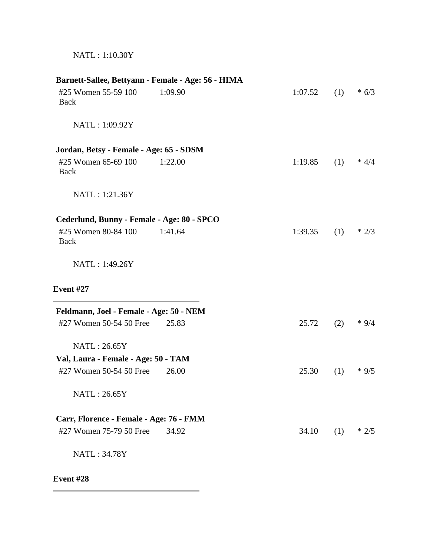| NATL: 1:10.30Y |
|----------------|
|                |

| Barnett-Sallee, Bettyann - Female - Age: 56 - HIMA |         |         |     |         |
|----------------------------------------------------|---------|---------|-----|---------|
| #25 Women 55-59 100<br><b>Back</b>                 | 1:09.90 | 1:07.52 | (1) | $* 6/3$ |
| NATL: 1:09.92Y                                     |         |         |     |         |
| Jordan, Betsy - Female - Age: 65 - SDSM            |         |         |     |         |
| #25 Women 65-69 100<br>Back                        | 1:22.00 | 1:19.85 | (1) | $* 4/4$ |
| NATL: 1:21.36Y                                     |         |         |     |         |
| Cederlund, Bunny - Female - Age: 80 - SPCO         |         |         |     |         |
| #25 Women 80-84 100<br><b>Back</b>                 | 1:41.64 | 1:39.35 | (1) | $*2/3$  |
| NATL: 1:49.26Y                                     |         |         |     |         |
| <b>Event #27</b>                                   |         |         |     |         |
| Feldmann, Joel - Female - Age: 50 - NEM            |         |         |     |         |
| #27 Women 50-54 50 Free                            | 25.83   | 25.72   | (2) | $*9/4$  |
| NATL: 26.65Y                                       |         |         |     |         |
| Val, Laura - Female - Age: 50 - TAM                |         |         |     |         |
| #27 Women 50-54 50 Free                            | 26.00   | 25.30   | (1) | $*9/5$  |
| NATL: 26.65Y                                       |         |         |     |         |
| Carr, Florence - Female - Age: 76 - FMM            |         |         |     |         |
| #27 Women 75-79 50 Free                            | 34.92   | 34.10   | (1) | $*2/5$  |
| NATL: 34.78Y                                       |         |         |     |         |

## **Event #28**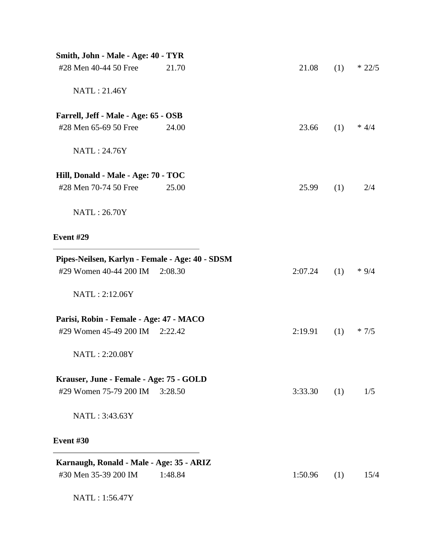| Smith, John - Male - Age: 40 - TYR              |         |         |     |         |
|-------------------------------------------------|---------|---------|-----|---------|
| #28 Men 40-44 50 Free                           | 21.70   | 21.08   | (1) | $*22/5$ |
| NATL: 21.46Y                                    |         |         |     |         |
| Farrell, Jeff - Male - Age: 65 - OSB            |         |         |     |         |
| #28 Men 65-69 50 Free                           | 24.00   | 23.66   | (1) | $* 4/4$ |
| NATL: 24.76Y                                    |         |         |     |         |
| Hill, Donald - Male - Age: 70 - TOC             |         |         |     |         |
| #28 Men 70-74 50 Free                           | 25.00   | 25.99   | (1) | 2/4     |
| NATL: 26.70Y                                    |         |         |     |         |
| Event #29                                       |         |         |     |         |
| Pipes-Neilsen, Karlyn - Female - Age: 40 - SDSM |         |         |     |         |
| #29 Women 40-44 200 IM                          | 2:08.30 | 2:07.24 | (1) | $*9/4$  |
| NATL: 2:12.06Y                                  |         |         |     |         |
| Parisi, Robin - Female - Age: 47 - MACO         |         |         |     |         |
| #29 Women 45-49 200 IM                          | 2:22.42 | 2:19.91 | (1) | $*7/5$  |
| NATL: 2:20.08Y                                  |         |         |     |         |
| Krauser, June - Female - Age: 75 - GOLD         |         |         |     |         |
| #29 Women 75-79 200 IM                          | 3:28.50 | 3:33.30 | (1) | 1/5     |
| NATL: 3:43.63Y                                  |         |         |     |         |
| Event #30                                       |         |         |     |         |
| Karnaugh, Ronald - Male - Age: 35 - ARIZ        |         |         |     |         |
| #30 Men 35-39 200 IM                            | 1:48.84 | 1:50.96 | (1) | 15/4    |
| NATL: 1:56.47Y                                  |         |         |     |         |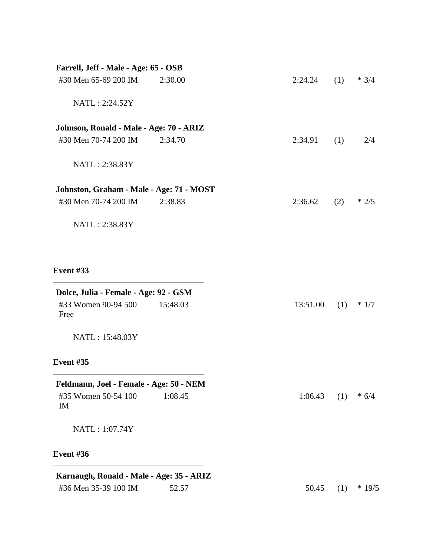| Farrell, Jeff - Male - Age: 65 - OSB                                 |          |          |     |         |
|----------------------------------------------------------------------|----------|----------|-----|---------|
| #30 Men 65-69 200 IM                                                 | 2:30.00  | 2:24.24  | (1) | $* 3/4$ |
| NATL: 2:24.52Y                                                       |          |          |     |         |
| Johnson, Ronald - Male - Age: 70 - ARIZ                              |          |          |     |         |
| #30 Men 70-74 200 IM                                                 | 2:34.70  | 2:34.91  | (1) | 2/4     |
| NATL: 2:38.83Y                                                       |          |          |     |         |
| Johnston, Graham - Male - Age: 71 - MOST                             |          |          |     |         |
| #30 Men 70-74 200 IM                                                 | 2:38.83  | 2:36.62  | (2) | $*2/5$  |
| NATL: 2:38.83Y                                                       |          |          |     |         |
| <b>Event #33</b>                                                     |          |          |     |         |
| Dolce, Julia - Female - Age: 92 - GSM<br>#33 Women 90-94 500<br>Free | 15:48.03 | 13:51.00 | (1) | $*1/7$  |
| NATL: 15:48.03Y                                                      |          |          |     |         |
| <b>Event #35</b>                                                     |          |          |     |         |
| Feldmann, Joel - Female - Age: 50 - NEM<br>#35 Women 50-54 100<br>IM | 1:08.45  | 1:06.43  | (1) | $* 6/4$ |
| NATL: 1:07.74Y                                                       |          |          |     |         |
| Event #36                                                            |          |          |     |         |
| Karnaugh, Ronald - Male - Age: 35 - ARIZ                             |          |          |     |         |
| #36 Men 35-39 100 IM                                                 | 52.57    | 50.45    | (1) | $*19/5$ |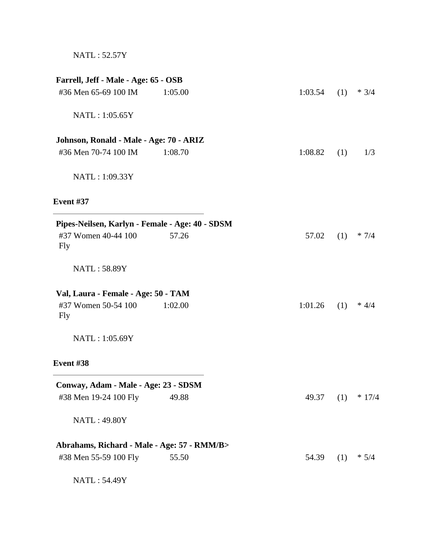NATL : 52.57Y

| Farrell, Jeff - Male - Age: 65 - OSB            |         |         |     |          |
|-------------------------------------------------|---------|---------|-----|----------|
| #36 Men 65-69 100 IM                            | 1:05.00 | 1:03.54 | (1) | $* 3/4$  |
| NATL: 1:05.65Y                                  |         |         |     |          |
| Johnson, Ronald - Male - Age: 70 - ARIZ         |         |         |     |          |
| #36 Men 70-74 100 IM                            | 1:08.70 | 1:08.82 | (1) | 1/3      |
| NATL: 1:09.33Y                                  |         |         |     |          |
| Event #37                                       |         |         |     |          |
| Pipes-Neilsen, Karlyn - Female - Age: 40 - SDSM |         |         |     |          |
| #37 Women 40-44 100<br>Fly                      | 57.26   | 57.02   | (1) | $* 7/4$  |
| NATL: 58.89Y                                    |         |         |     |          |
| Val, Laura - Female - Age: 50 - TAM             |         |         |     |          |
| #37 Women 50-54 100<br><b>Fly</b>               | 1:02.00 | 1:01.26 | (1) | $* 4/4$  |
| NATL: 1:05.69Y                                  |         |         |     |          |
| Event #38                                       |         |         |     |          |
| Conway, Adam - Male - Age: 23 - SDSM            |         |         |     |          |
| #38 Men 19-24 100 Fly                           | 49.88   | 49.37   | (1) | $* 17/4$ |
| <b>NATL: 49.80Y</b>                             |         |         |     |          |
| Abrahams, Richard - Male - Age: 57 - RMM/B>     |         |         |     |          |
| #38 Men 55-59 100 Fly                           | 55.50   | 54.39   | (1) | $* 5/4$  |
| NATL: 54.49Y                                    |         |         |     |          |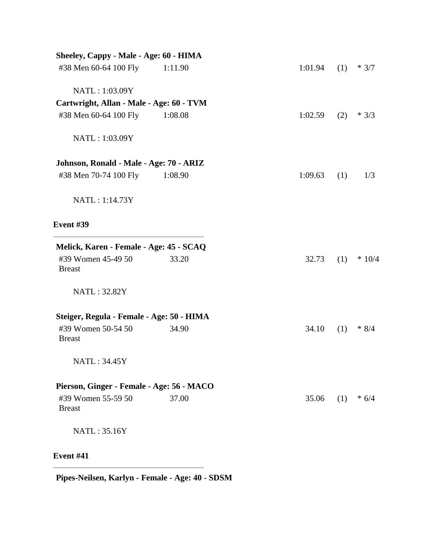| Sheeley, Cappy - Male - Age: 60 - HIMA    |         |         |     |         |
|-------------------------------------------|---------|---------|-----|---------|
| #38 Men 60-64 100 Fly                     | 1:11.90 | 1:01.94 | (1) | $* 3/7$ |
| NATL: 1:03.09Y                            |         |         |     |         |
| Cartwright, Allan - Male - Age: 60 - TVM  |         |         |     |         |
| #38 Men 60-64 100 Fly                     | 1:08.08 | 1:02.59 | (2) | $*3/3$  |
| NATL: 1:03.09Y                            |         |         |     |         |
| Johnson, Ronald - Male - Age: 70 - ARIZ   |         |         |     |         |
| #38 Men 70-74 100 Fly                     | 1:08.90 | 1:09.63 | (1) | 1/3     |
| NATL: 1:14.73Y                            |         |         |     |         |
| <b>Event #39</b>                          |         |         |     |         |
| Melick, Karen - Female - Age: 45 - SCAQ   |         |         |     |         |
| #39 Women 45-49 50<br><b>Breast</b>       | 33.20   | 32.73   | (1) | $*10/4$ |
| NATL: 32.82Y                              |         |         |     |         |
| Steiger, Regula - Female - Age: 50 - HIMA |         |         |     |         |
| #39 Women 50-54 50<br><b>Breast</b>       | 34.90   | 34.10   | (1) | $* 8/4$ |
| NATL: 34.45Y                              |         |         |     |         |
| Pierson, Ginger - Female - Age: 56 - MACO |         |         |     |         |
| #39 Women 55-59 50<br><b>Breast</b>       | 37.00   | 35.06   | (1) | $* 6/4$ |
| NATL: 35.16Y                              |         |         |     |         |
| <b>Event #41</b>                          |         |         |     |         |

**Pipes-Neilsen, Karlyn - Female - Age: 40 - SDSM**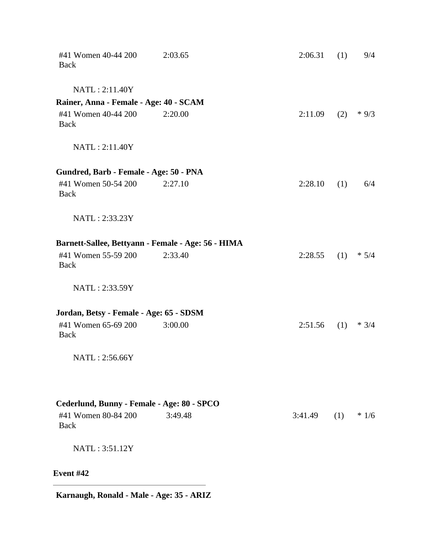| Event #42                                                                        |                                                               |         |     |         |
|----------------------------------------------------------------------------------|---------------------------------------------------------------|---------|-----|---------|
| NATL: 3:51.12Y                                                                   |                                                               |         |     |         |
| Cederlund, Bunny - Female - Age: 80 - SPCO<br>#41 Women 80-84 200<br><b>Back</b> | 3:49.48                                                       | 3:41.49 | (1) | $*1/6$  |
| NATL: 2:56.66Y                                                                   |                                                               |         |     |         |
| Jordan, Betsy - Female - Age: 65 - SDSM<br>#41 Women 65-69 200<br>Back           | 3:00.00                                                       | 2:51.56 | (1) | $*3/4$  |
| NATL: 2:33.59Y                                                                   |                                                               |         |     |         |
| #41 Women 55-59 200<br><b>Back</b>                                               | Barnett-Sallee, Bettyann - Female - Age: 56 - HIMA<br>2:33.40 | 2:28.55 | (1) | $* 5/4$ |
| NATL: 2:33.23Y                                                                   |                                                               |         |     |         |
| Gundred, Barb - Female - Age: 50 - PNA<br>#41 Women 50-54 200<br><b>Back</b>     | 2:27.10                                                       | 2:28.10 | (1) | 6/4     |
| NATL: 2:11.40Y                                                                   |                                                               |         |     |         |
| Rainer, Anna - Female - Age: 40 - SCAM<br>#41 Women 40-44 200<br>Back            | 2:20.00                                                       | 2:11.09 | (2) | $*9/3$  |
| NATL: 2:11.40Y                                                                   |                                                               |         |     |         |
| #41 Women 40-44 200<br>Back                                                      | 2:03.65                                                       | 2:06.31 | (1) | 9/4     |

**Karnaugh, Ronald - Male - Age: 35 - ARIZ**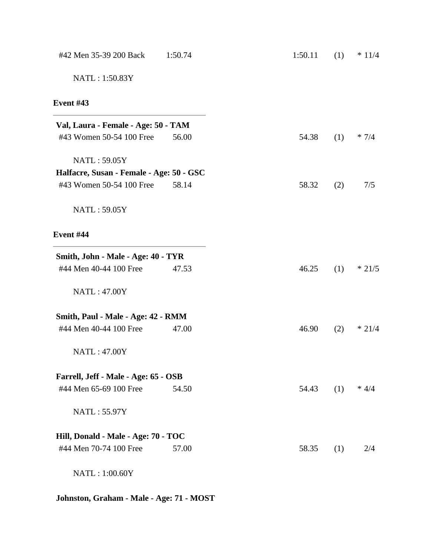| #42 Men 35-39 200 Back                   | 1:50.74 | 1:50.11 | (1) | $* 11/4$ |
|------------------------------------------|---------|---------|-----|----------|
| NATL: 1:50.83Y                           |         |         |     |          |
| <b>Event #43</b>                         |         |         |     |          |
| Val, Laura - Female - Age: 50 - TAM      |         |         |     |          |
| #43 Women 50-54 100 Free                 | 56.00   | 54.38   | (1) | $* 7/4$  |
| NATL: 59.05Y                             |         |         |     |          |
| Halfacre, Susan - Female - Age: 50 - GSC |         |         |     |          |
| #43 Women 50-54 100 Free                 | 58.14   | 58.32   | (2) | 7/5      |
| NATL: 59.05Y                             |         |         |     |          |
| Event #44                                |         |         |     |          |
| Smith, John - Male - Age: 40 - TYR       |         |         |     |          |
| #44 Men 40-44 100 Free                   | 47.53   | 46.25   | (1) | $*21/5$  |
| <b>NATL: 47.00Y</b>                      |         |         |     |          |
| Smith, Paul - Male - Age: 42 - RMM       |         |         |     |          |
| #44 Men 40-44 100 Free                   | 47.00   | 46.90   | (2) | $* 21/4$ |
| <b>NATL: 47.00Y</b>                      |         |         |     |          |
| Farrell, Jeff - Male - Age: 65 - OSB     |         |         |     |          |
| #44 Men 65-69 100 Free                   | 54.50   | 54.43   | (1) | $* 4/4$  |
| NATL: 55.97Y                             |         |         |     |          |
| Hill, Donald - Male - Age: 70 - TOC      |         |         |     |          |
| #44 Men 70-74 100 Free                   | 57.00   | 58.35   | (1) | 2/4      |
| NATL: 1:00.60Y                           |         |         |     |          |
|                                          |         |         |     |          |

**Johnston, Graham - Male - Age: 71 - MOST**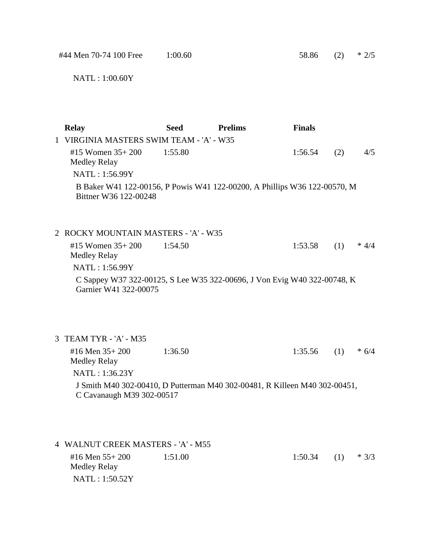| #44 Men 70-74 100 Free                                                                                                    | 1:00.60     |                | 58.86         | (2) | $*2/5$  |
|---------------------------------------------------------------------------------------------------------------------------|-------------|----------------|---------------|-----|---------|
| NATL: 1:00.60Y                                                                                                            |             |                |               |     |         |
| <b>Relay</b>                                                                                                              | <b>Seed</b> | <b>Prelims</b> | <b>Finals</b> |     |         |
| 1 VIRGINIA MASTERS SWIM TEAM - 'A' - W35                                                                                  |             |                |               |     |         |
| #15 Women 35+200<br><b>Medley Relay</b>                                                                                   | 1:55.80     |                | 1:56.54       | (2) | 4/5     |
| NATL: 1:56.99Y                                                                                                            |             |                |               |     |         |
| B Baker W41 122-00156, P Powis W41 122-00200, A Phillips W36 122-00570, M<br>Bittner W36 122-00248                        |             |                |               |     |         |
| 2 ROCKY MOUNTAIN MASTERS - 'A' - W35                                                                                      |             |                |               |     |         |
| #15 Women 35+200<br><b>Medley Relay</b>                                                                                   | 1:54.50     |                | 1:53.58       | (1) | $* 4/4$ |
| NATL: 1:56.99Y                                                                                                            |             |                |               |     |         |
| C Sappey W37 322-00125, S Lee W35 322-00696, J Von Evig W40 322-00748, K<br>Garnier W41 322-00075                         |             |                |               |     |         |
| 3 TEAM TYR - 'A' - M35                                                                                                    |             |                |               |     |         |
| #16 Men 35+200<br>Medley Relay                                                                                            | 1:36.50     |                | 1:35.56       | (1) | $* 6/4$ |
| NATL: 1:36.23Y<br>J Smith M40 302-00410, D Putterman M40 302-00481, R Killeen M40 302-00451,<br>C Cavanaugh M39 302-00517 |             |                |               |     |         |
| 4 WALNUT CREEK MASTERS - 'A' - M55                                                                                        |             |                |               |     |         |
| #16 Men 55+200                                                                                                            | 1:51.00     |                | 1:50.34       | (1) | $*3/3$  |

Medley Relay

NATL : 1:50.52Y